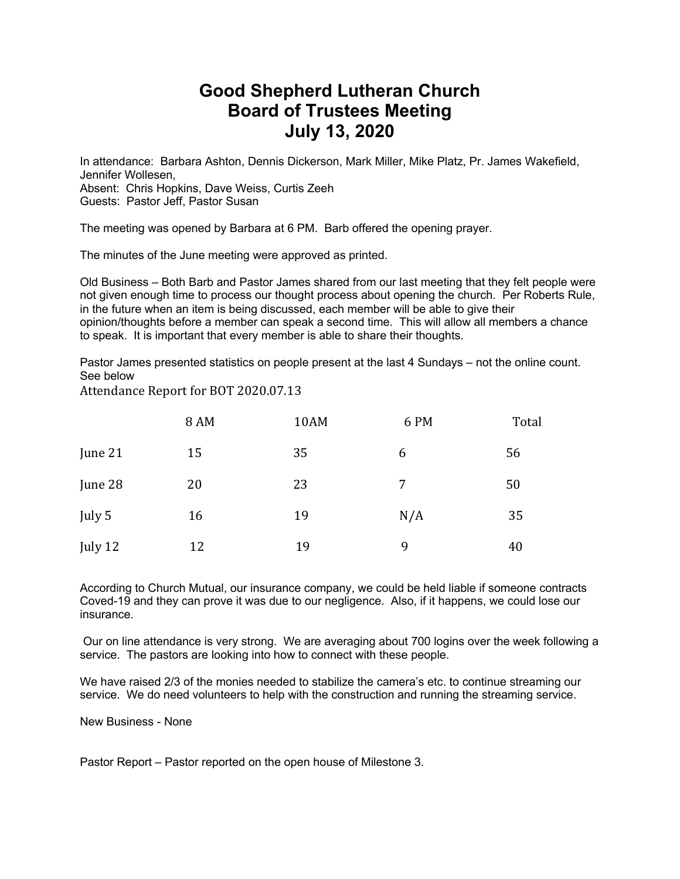## **Good Shepherd Lutheran Church Board of Trustees Meeting July 13, 2020**

In attendance: Barbara Ashton, Dennis Dickerson, Mark Miller, Mike Platz, Pr. James Wakefield, Jennifer Wollesen, Absent: Chris Hopkins, Dave Weiss, Curtis Zeeh Guests: Pastor Jeff, Pastor Susan

The meeting was opened by Barbara at 6 PM. Barb offered the opening prayer.

The minutes of the June meeting were approved as printed.

Old Business – Both Barb and Pastor James shared from our last meeting that they felt people were not given enough time to process our thought process about opening the church. Per Roberts Rule, in the future when an item is being discussed, each member will be able to give their opinion/thoughts before a member can speak a second time. This will allow all members a chance to speak. It is important that every member is able to share their thoughts.

Pastor James presented statistics on people present at the last 4 Sundays – not the online count. See below

Attendance Report for BOT 2020.07.13

|         | <b>8 AM</b> | 10AM | 6 PM | Total |
|---------|-------------|------|------|-------|
| June 21 | 15          | 35   | 6    | 56    |
| June 28 | 20          | 23   | 7    | 50    |
| July 5  | 16          | 19   | N/A  | 35    |
| July 12 | 12          | 19   | 9    | 40    |

According to Church Mutual, our insurance company, we could be held liable if someone contracts Coved-19 and they can prove it was due to our negligence. Also, if it happens, we could lose our insurance.

Our on line attendance is very strong. We are averaging about 700 logins over the week following a service. The pastors are looking into how to connect with these people.

We have raised 2/3 of the monies needed to stabilize the camera's etc. to continue streaming our service. We do need volunteers to help with the construction and running the streaming service.

New Business - None

Pastor Report – Pastor reported on the open house of Milestone 3.